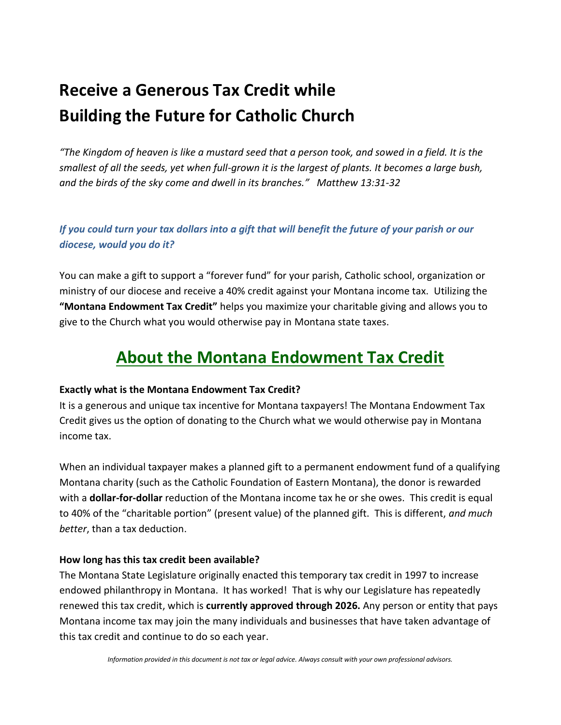# **Receive a Generous Tax Credit while Building the Future for Catholic Church**

*"The Kingdom of heaven is like a mustard seed that a person took, and sowed in a field. It is the smallest of all the seeds, yet when full-grown it is the largest of plants. It becomes a large bush, and the birds of the sky come and dwell in its branches." Matthew 13:31-32*

# *If you could turn your tax dollars into a gift that will benefit the future of your parish or our diocese, would you do it?*

You can make a gift to support a "forever fund" for your parish, Catholic school, organization or ministry of our diocese and receive a 40% credit against your Montana income tax. Utilizing the **"Montana Endowment Tax Credit"** helps you maximize your charitable giving and allows you to give to the Church what you would otherwise pay in Montana state taxes.

# **About the Montana Endowment Tax Credit**

### **Exactly what is the Montana Endowment Tax Credit?**

It is a generous and unique tax incentive for Montana taxpayers! The Montana Endowment Tax Credit gives us the option of donating to the Church what we would otherwise pay in Montana income tax.

When an individual taxpayer makes a planned gift to a permanent endowment fund of a qualifying Montana charity (such as the Catholic Foundation of Eastern Montana), the donor is rewarded with a **dollar-for-dollar** reduction of the Montana income tax he or she owes. This credit is equal to 40% of the "charitable portion" (present value) of the planned gift. This is different, *and much better*, than a tax deduction.

#### **How long has this tax credit been available?**

The Montana State Legislature originally enacted this temporary tax credit in 1997 to increase endowed philanthropy in Montana. It has worked! That is why our Legislature has repeatedly renewed this tax credit, which is **currently approved through 2026.** Any person or entity that pays Montana income tax may join the many individuals and businesses that have taken advantage of this tax credit and continue to do so each year.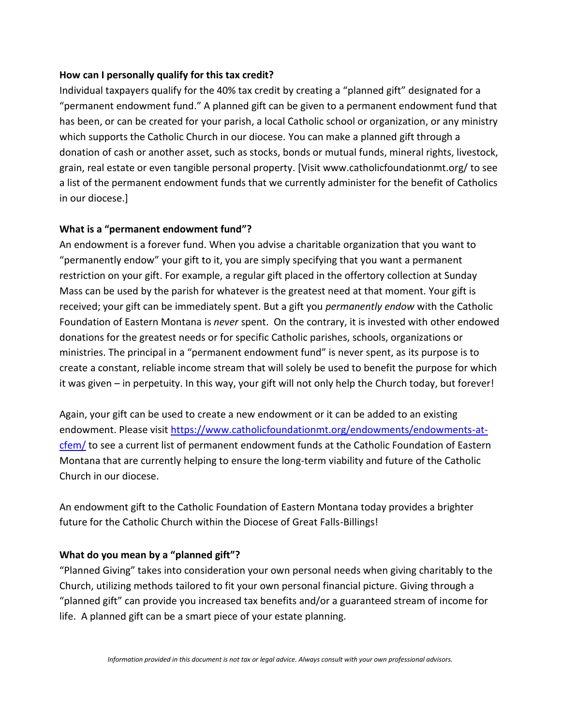#### **How can I personally qualify for this tax credit?**

Individual taxpayers qualify for the 40% tax credit by creating a "planned gift" designated for a "permanent endowment fund." A planned gift can be given to a permanent endowment fund that has been, or can be created for your parish, a local Catholic school or organization, or any ministry which supports the Catholic Church in our diocese. You can make a planned gift through a donation of cash or another asset, such as stocks, bonds or mutual funds, mineral rights, livestock, grain, real estate or even tangible personal property. [Visit www.catholicfoundationmt.org/ to see a list of the permanent endowment funds that we currently administer for the benefit of Catholics in our diocese.]

#### **What is a "permanent endowment fund"?**

An endowment is a forever fund. When you advise a charitable organization that you want to "permanently endow" your gift to it, you are simply specifying that you want a permanent restriction on your gift. For example, a regular gift placed in the offertory collection at Sunday Mass can be used by the parish for whatever is the greatest need at that moment. Your gift is received; your gift can be immediately spent. But a gift you *permanently endow* with the Catholic Foundation of Eastern Montana is *never* spent. On the contrary, it is invested with other endowed donations for the greatest needs or for specific Catholic parishes, schools, organizations or ministries. The principal in a "permanent endowment fund" is never spent, as its purpose is to create a constant, reliable income stream that will solely be used to benefit the purpose for which it was given – in perpetuity. In this way, your gift will not only help the Church today, but forever!

Again, your gift can be used to create a new endowment or it can be added to an existing endowment. Please visit [https://www.catholicfoundationmt.org/endowments/endowments-at](https://www.catholicfoundationmt.org/endowments/endowments-at-cfem/)[cfem/](https://www.catholicfoundationmt.org/endowments/endowments-at-cfem/) to see a current list of permanent endowment funds at the Catholic Foundation of Eastern Montana that are currently helping to ensure the long-term viability and future of the Catholic Church in our diocese.

An endowment gift to the Catholic Foundation of Eastern Montana today provides a brighter future for the Catholic Church within the Diocese of Great Falls-Billings!

### **What do you mean by a "planned gift"?**

"Planned Giving" takes into consideration your own personal needs when giving charitably to the Church, utilizing methods tailored to fit your own personal financial picture. Giving through a "planned gift" can provide you increased tax benefits and/or a guaranteed stream of income for life. A planned gift can be a smart piece of your estate planning.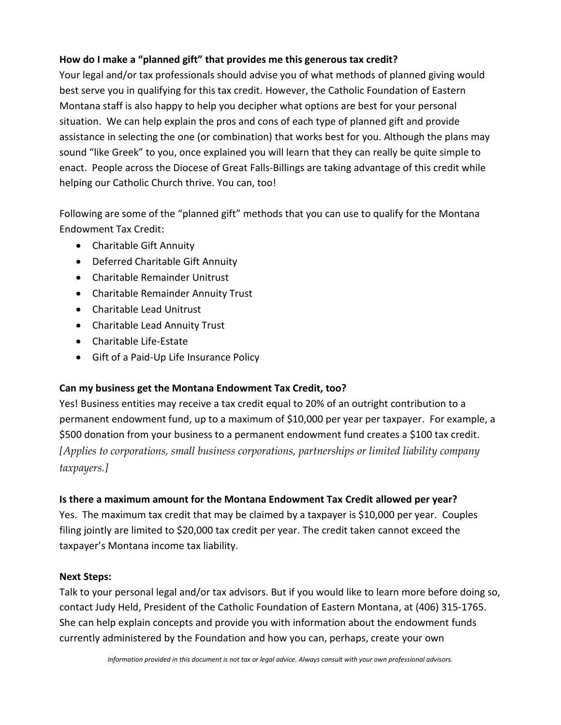## **How do I make a "planned gift" that provides me this generous tax credit?**

Your legal and/or tax professionals should advise you of what methods of planned giving would best serve you in qualifying for this tax credit. However, the Catholic Foundation of Eastern Montana staff is also happy to help you decipher what options are best for your personal situation. We can help explain the pros and cons of each type of planned gift and provide assistance in selecting the one (or combination) that works best for you. Although the plans may sound "like Greek" to you, once explained you will learn that they can really be quite simple to enact. People across the Diocese of Great Falls-Billings are taking advantage of this credit while helping our Catholic Church thrive. You can, too!

Following are some of the "planned gift" methods that you can use to qualify for the Montana Endowment Tax Credit:

- Charitable Gift Annuity
- Deferred Charitable Gift Annuity
- Charitable Remainder Unitrust
- Charitable Remainder Annuity Trust
- Charitable Lead Unitrust
- Charitable Lead Annuity Trust
- Charitable Life-Estate
- Gift of a Paid-Up Life Insurance Policy

# **Can my business get the Montana Endowment Tax Credit, too?**

Yes! Business entities may receive a tax credit equal to 20% of an outright contribution to a permanent endowment fund, up to a maximum of \$10,000 per year per taxpayer. For example, a \$500 donation from your business to a permanent endowment fund creates a \$100 tax credit. *[Applies to corporations, small business corporations, partnerships or limited liability company taxpayers.]*

### **Is there a maximum amount for the Montana Endowment Tax Credit allowed per year?**

Yes. The maximum tax credit that may be claimed by a taxpayer is \$10,000 per year. Couples filing jointly are limited to \$20,000 tax credit per year. The credit taken cannot exceed the taxpayer's Montana income tax liability.

### **Next Steps:**

Talk to your personal legal and/or tax advisors. But if you would like to learn more before doing so, contact Judy Held, President of the Catholic Foundation of Eastern Montana, at (406) 315-1765. She can help explain concepts and provide you with information about the endowment funds currently administered by the Foundation and how you can, perhaps, create your own